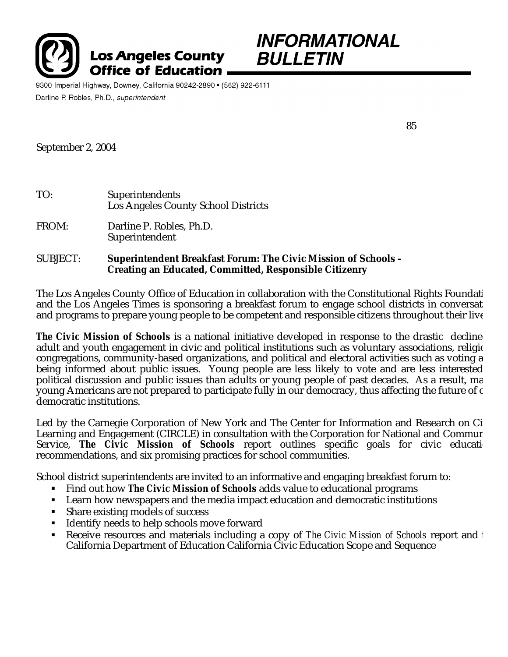



9300 Imperial Highway, Downey, California 90242-2890 • (562) 922-6111 Darline P. Robles, Ph.D., superintendent

85

September 2, 2004

| TO:             | Superintendents<br>Los Angeles County School Districts                                                                                 |
|-----------------|----------------------------------------------------------------------------------------------------------------------------------------|
| FROM:           | Darline P. Robles, Ph.D.<br>Superintendent                                                                                             |
| <b>SUBJECT:</b> | <b>Superintendent Breakfast Forum: The Civic Mission of Schools -</b><br><b>Creating an Educated, Committed, Responsible Citizenry</b> |

The Los Angeles County Office of Education in collaboration with the Constitutional Rights Foundati and the Los Angeles Times is sponsoring a breakfast forum to engage school districts in conversat and programs to prepare young people to be competent and responsible citizens throughout their live

**The Civic Mission of Schools** is a national initiative developed in response to the drastic decline adult and youth engagement in civic and political institutions such as voluntary associations, religious congregations, community-based organizations, and political and electoral activities such as voting a being informed about public issues. Young people are less likely to vote and are less interested political discussion and public issues than adults or young people of past decades. As a result, ma young Americans are not prepared to participate fully in our democracy, thus affecting the future of c democratic institutions.

Led by the Carnegie Corporation of New York and The Center for Information and Research on Ci Learning and Engagement (CIRCLE) in consultation with the Corporation for National and Commun Service, **The Civic Mission of Schools** report outlines specific goals for civic education recommendations, and six promising practices for school communities.

School district superintendents are invited to an informative and engaging breakfast forum to:

- **Find out how The Civic Mission of Schools** adds value to educational programs
- **EXECTE:** Learn how newspapers and the media impact education and democratic institutions
- $\blacksquare$  Share existing models of success
- **IDENTIFY 11** Identify needs to help schools move forward
- Receive resources and materials including a copy of *The Civic Mission of Schools* report and the California Department of Education California Civic Education Scope and Sequence